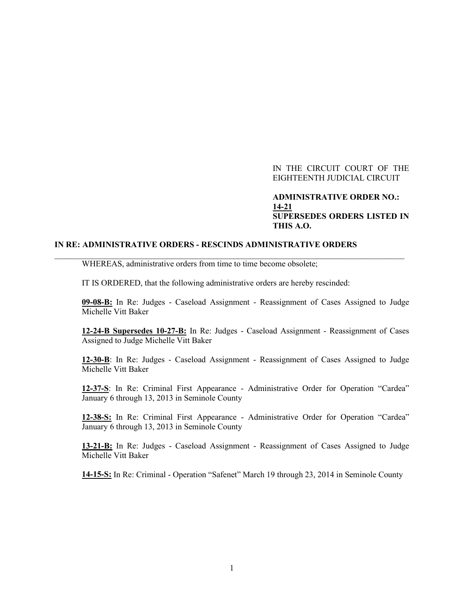## IN THE CIRCUIT COURT OF THE EIGHTEENTH JUDICIAL CIRCUIT

## **ADMINISTRATIVE ORDER NO.: 14-21 SUPERSEDES ORDERS LISTED IN THIS A.O.**

## **IN RE: ADMINISTRATIVE ORDERS - RESCINDS ADMINISTRATIVE ORDERS**

WHEREAS, administrative orders from time to time become obsolete;

IT IS ORDERED, that the following administrative orders are hereby rescinded:

 $\_$  , and the set of the set of the set of the set of the set of the set of the set of the set of the set of the set of the set of the set of the set of the set of the set of the set of the set of the set of the set of th

**09-08-B:** In Re: Judges - Caseload Assignment - Reassignment of Cases Assigned to Judge Michelle Vitt Baker

**12-24-B Supersedes 10-27-B:** In Re: Judges - Caseload Assignment - Reassignment of Cases Assigned to Judge Michelle Vitt Baker

**12-30-B**: In Re: Judges - Caseload Assignment - Reassignment of Cases Assigned to Judge Michelle Vitt Baker

**12-37-S**: In Re: Criminal First Appearance - Administrative Order for Operation "Cardea" January 6 through 13, 2013 in Seminole County

**12-38-S:** In Re: Criminal First Appearance - Administrative Order for Operation "Cardea" January 6 through 13, 2013 in Seminole County

**13-21-B:** In Re: Judges - Caseload Assignment - Reassignment of Cases Assigned to Judge Michelle Vitt Baker

**14-15-S:** In Re: Criminal - Operation "Safenet" March 19 through 23, 2014 in Seminole County